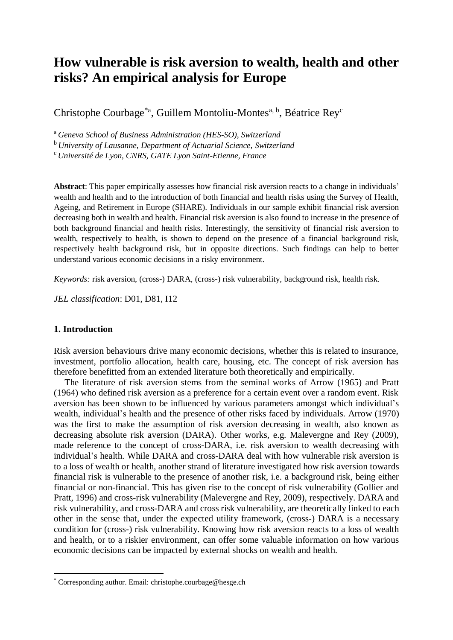# **How vulnerable is risk aversion to wealth, health and other risks? An empirical analysis for Europe**

Christophe Courbage<sup>\*a</sup>, Guillem Montoliu-Montes<sup>a, b</sup>, Béatrice Rey<sup>c</sup>

<sup>a</sup>*Geneva School of Business Administration (HES-SO), Switzerland*

<sup>b</sup>*University of Lausanne, Department of Actuarial Science, Switzerland*

<sup>c</sup> *Université de Lyon, CNRS, GATE Lyon Saint-Etienne, France*

**Abstract**: This paper empirically assesses how financial risk aversion reacts to a change in individuals' wealth and health and to the introduction of both financial and health risks using the Survey of Health, Ageing, and Retirement in Europe (SHARE). Individuals in our sample exhibit financial risk aversion decreasing both in wealth and health. Financial risk aversion is also found to increase in the presence of both background financial and health risks. Interestingly, the sensitivity of financial risk aversion to wealth, respectively to health, is shown to depend on the presence of a financial background risk, respectively health background risk, but in opposite directions. Such findings can help to better understand various economic decisions in a risky environment.

*Keywords:* risk aversion, (cross-) DARA, (cross-) risk vulnerability, background risk, health risk.

*JEL classification*: D01, D81, I12

# **1. Introduction**

**.** 

Risk aversion behaviours drive many economic decisions, whether this is related to insurance, investment, portfolio allocation, health care, housing, etc. The concept of risk aversion has therefore benefitted from an extended literature both theoretically and empirically.

The literature of risk aversion stems from the seminal works of Arrow (1965) and Pratt (1964) who defined risk aversion as a preference for a certain event over a random event. Risk aversion has been shown to be influenced by various parameters amongst which individual's wealth, individual's health and the presence of other risks faced by individuals. Arrow (1970) was the first to make the assumption of risk aversion decreasing in wealth, also known as decreasing absolute risk aversion (DARA). Other works, e.g. Malevergne and Rey (2009), made reference to the concept of cross-DARA, i.e. risk aversion to wealth decreasing with individual's health. While DARA and cross-DARA deal with how vulnerable risk aversion is to a loss of wealth or health, another strand of literature investigated how risk aversion towards financial risk is vulnerable to the presence of another risk, i.e. a background risk, being either financial or non-financial. This has given rise to the concept of risk vulnerability (Gollier and Pratt, 1996) and cross-risk vulnerability (Malevergne and Rey, 2009), respectively. DARA and risk vulnerability, and cross-DARA and cross risk vulnerability, are theoretically linked to each other in the sense that, under the expected utility framework, (cross-) DARA is a necessary condition for (cross-) risk vulnerability. Knowing how risk aversion reacts to a loss of wealth and health, or to a riskier environment, can offer some valuable information on how various economic decisions can be impacted by external shocks on wealth and health.

<sup>\*</sup> Corresponding author. Email: christophe.courbage@hesge.ch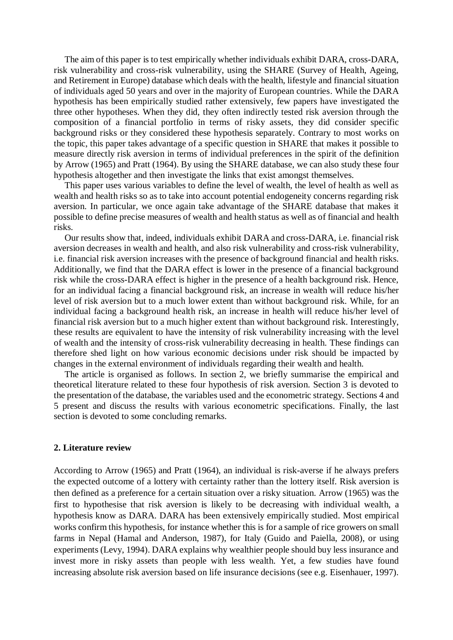The aim of this paper is to test empirically whether individuals exhibit DARA, cross-DARA, risk vulnerability and cross-risk vulnerability, using the SHARE (Survey of Health, Ageing, and Retirement in Europe) database which deals with the health, lifestyle and financial situation of individuals aged 50 years and over in the majority of European countries. While the DARA hypothesis has been empirically studied rather extensively, few papers have investigated the three other hypotheses. When they did, they often indirectly tested risk aversion through the composition of a financial portfolio in terms of risky assets, they did consider specific background risks or they considered these hypothesis separately. Contrary to most works on the topic, this paper takes advantage of a specific question in SHARE that makes it possible to measure directly risk aversion in terms of individual preferences in the spirit of the definition by Arrow (1965) and Pratt (1964). By using the SHARE database, we can also study these four hypothesis altogether and then investigate the links that exist amongst themselves.

This paper uses various variables to define the level of wealth, the level of health as well as wealth and health risks so as to take into account potential endogeneity concerns regarding risk aversion. In particular, we once again take advantage of the SHARE database that makes it possible to define precise measures of wealth and health status as well as of financial and health risks.

Our results show that, indeed, individuals exhibit DARA and cross-DARA, i.e. financial risk aversion decreases in wealth and health, and also risk vulnerability and cross-risk vulnerability, i.e. financial risk aversion increases with the presence of background financial and health risks. Additionally, we find that the DARA effect is lower in the presence of a financial background risk while the cross-DARA effect is higher in the presence of a health background risk. Hence, for an individual facing a financial background risk, an increase in wealth will reduce his/her level of risk aversion but to a much lower extent than without background risk. While, for an individual facing a background health risk, an increase in health will reduce his/her level of financial risk aversion but to a much higher extent than without background risk. Interestingly, these results are equivalent to have the intensity of risk vulnerability increasing with the level of wealth and the intensity of cross-risk vulnerability decreasing in health. These findings can therefore shed light on how various economic decisions under risk should be impacted by changes in the external environment of individuals regarding their wealth and health.

The article is organised as follows. In section 2, we briefly summarise the empirical and theoretical literature related to these four hypothesis of risk aversion. Section 3 is devoted to the presentation of the database, the variables used and the econometric strategy. Sections 4 and 5 present and discuss the results with various econometric specifications. Finally, the last section is devoted to some concluding remarks.

#### **2. Literature review**

According to Arrow (1965) and Pratt (1964), an individual is risk-averse if he always prefers the expected outcome of a lottery with certainty rather than the lottery itself. Risk aversion is then defined as a preference for a certain situation over a risky situation. Arrow (1965) was the first to hypothesise that risk aversion is likely to be decreasing with individual wealth, a hypothesis know as DARA. DARA has been extensively empirically studied. Most empirical works confirm this hypothesis, for instance whether this is for a sample of rice growers on small farms in Nepal (Hamal and Anderson, 1987), for Italy (Guido and Paiella, 2008), or using experiments (Levy, 1994). DARA explains why wealthier people should buy less insurance and invest more in risky assets than people with less wealth. Yet, a few studies have found increasing absolute risk aversion based on life insurance decisions (see e.g. Eisenhauer, 1997).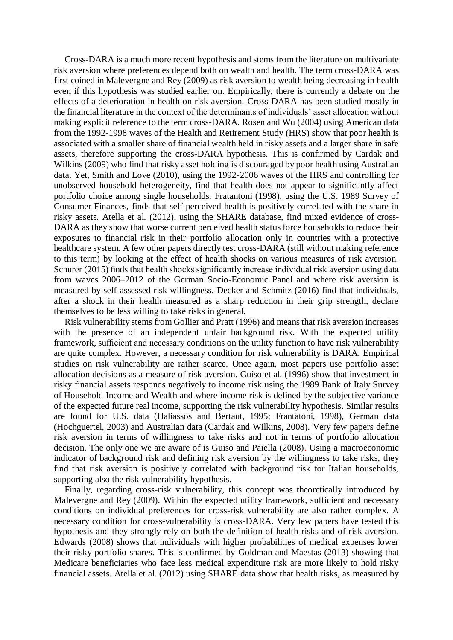Cross-DARA is a much more recent hypothesis and stems from the literature on multivariate risk aversion where preferences depend both on wealth and health. The term cross-DARA was first coined in Malevergne and Rey (2009) as risk aversion to wealth being decreasing in health even if this hypothesis was studied earlier on. Empirically, there is currently a debate on the effects of a deterioration in health on risk aversion. Cross-DARA has been studied mostly in the financial literature in the context of the determinants of individuals' asset allocation without making explicit reference to the term cross-DARA. Rosen and Wu (2004) using American data from the 1992-1998 waves of the Health and Retirement Study (HRS) show that poor health is associated with a smaller share of financial wealth held in risky assets and a larger share in safe assets, therefore supporting the cross-DARA hypothesis. This is confirmed by Cardak and Wilkins (2009) who find that risky asset holding is discouraged by poor health using Australian data. Yet, Smith and Love (2010), using the 1992-2006 waves of the HRS and controlling for unobserved household heterogeneity, find that health does not appear to significantly affect portfolio choice among single households. Fratantoni (1998), using the U.S. 1989 Survey of Consumer Finances, finds that self-perceived health is positively correlated with the share in risky assets. Atella et al. (2012), using the SHARE database, find mixed evidence of cross-DARA as they show that worse current perceived health status force households to reduce their exposures to financial risk in their portfolio allocation only in countries with a protective healthcare system. A few other papers directly test cross-DARA (still without making reference to this term) by looking at the effect of health shocks on various measures of risk aversion. Schurer (2015) finds that health shocks significantly increase individual risk aversion using data from waves 2006–2012 of the German Socio-Economic Panel and where risk aversion is measured by self-assessed risk willingness. Decker and Schmitz (2016) find that individuals, after a shock in their health measured as a sharp reduction in their grip strength, declare themselves to be less willing to take risks in general.

Risk vulnerability stems from Gollier and Pratt (1996) and means that risk aversion increases with the presence of an independent unfair background risk. With the expected utility framework, sufficient and necessary conditions on the utility function to have risk vulnerability are quite complex. However, a necessary condition for risk vulnerability is DARA. Empirical studies on risk vulnerability are rather scarce. Once again, most papers use portfolio asset allocation decisions as a measure of risk aversion. Guiso et al. (1996) show that investment in risky financial assets responds negatively to income risk using the 1989 Bank of Italy Survey of Household Income and Wealth and where income risk is defined by the subjective variance of the expected future real income, supporting the risk vulnerability hypothesis. Similar results are found for U.S. data (Haliassos and Bertaut, 1995; Frantatoni, 1998), German data (Hochguertel, 2003) and Australian data (Cardak and Wilkins, 2008). Very few papers define risk aversion in terms of willingness to take risks and not in terms of portfolio allocation decision. The only one we are aware of is Guiso and Paiella (2008). Using a macroeconomic indicator of background risk and defining risk aversion by the willingness to take risks, they find that risk aversion is positively correlated with background risk for Italian households, supporting also the risk vulnerability hypothesis.

Finally, regarding cross-risk vulnerability, this concept was theoretically introduced by Malevergne and Rey (2009). Within the expected utility framework, sufficient and necessary conditions on individual preferences for cross-risk vulnerability are also rather complex. A necessary condition for cross-vulnerability is cross-DARA. Very few papers have tested this hypothesis and they strongly rely on both the definition of health risks and of risk aversion. Edwards (2008) shows that individuals with higher probabilities of medical expenses lower their risky portfolio shares. This is confirmed by Goldman and Maestas (2013) showing that Medicare beneficiaries who face less medical expenditure risk are more likely to hold risky financial assets. Atella et al. (2012) using SHARE data show that health risks, as measured by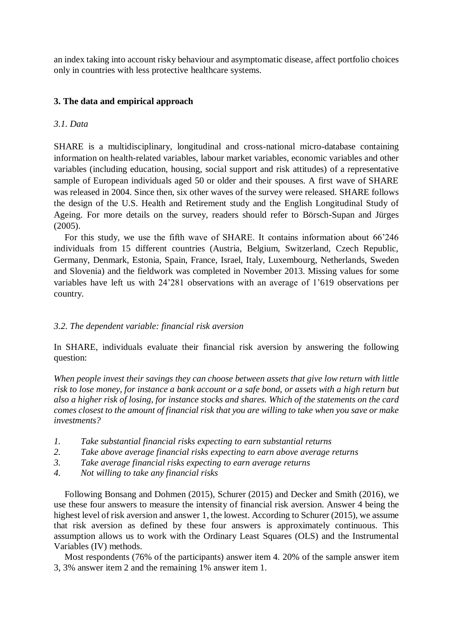an index taking into account risky behaviour and asymptomatic disease, affect portfolio choices only in countries with less protective healthcare systems.

# **3. The data and empirical approach**

# *3.1. Data*

SHARE is a multidisciplinary, longitudinal and cross-national micro-database containing information on health-related variables, labour market variables, economic variables and other variables (including education, housing, social support and risk attitudes) of a representative sample of European individuals aged 50 or older and their spouses. A first wave of SHARE was released in 2004. Since then, six other waves of the survey were released. SHARE follows the design of the U.S. Health and Retirement study and the English Longitudinal Study of Ageing. For more details on the survey, readers should refer to Börsch-Supan and Jürges (2005).

For this study, we use the fifth wave of SHARE. It contains information about 66'246 individuals from 15 different countries (Austria, Belgium, Switzerland, Czech Republic, Germany, Denmark, Estonia, Spain, France, Israel, Italy, Luxembourg, Netherlands, Sweden and Slovenia) and the fieldwork was completed in November 2013. Missing values for some variables have left us with 24'281 observations with an average of 1'619 observations per country.

# *3.2. The dependent variable: financial risk aversion*

In SHARE, individuals evaluate their financial risk aversion by answering the following question:

*When people invest their savings they can choose between assets that give low return with little risk to lose money, for instance a bank account or a safe bond, or assets with a high return but also a higher risk of losing, for instance stocks and shares. Which of the statements on the card comes closest to the amount of financial risk that you are willing to take when you save or make investments?*

- *1. Take substantial financial risks expecting to earn substantial returns*
- *2. Take above average financial risks expecting to earn above average returns*
- *3. Take average financial risks expecting to earn average returns*
- *4. Not willing to take any financial risks*

Following Bonsang and Dohmen (2015), Schurer (2015) and Decker and Smith (2016), we use these four answers to measure the intensity of financial risk aversion. Answer 4 being the highest level of risk aversion and answer 1, the lowest. According to Schurer (2015), we assume that risk aversion as defined by these four answers is approximately continuous. This assumption allows us to work with the Ordinary Least Squares (OLS) and the Instrumental Variables (IV) methods.

Most respondents (76% of the participants) answer item 4. 20% of the sample answer item 3, 3% answer item 2 and the remaining 1% answer item 1.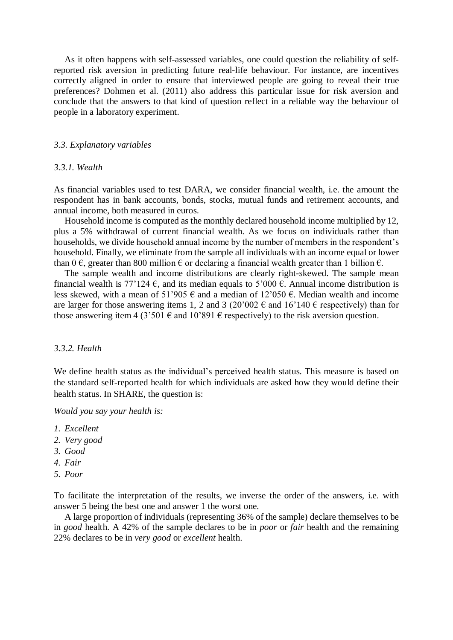As it often happens with self-assessed variables, one could question the reliability of selfreported risk aversion in predicting future real-life behaviour. For instance, are incentives correctly aligned in order to ensure that interviewed people are going to reveal their true preferences? Dohmen et al. (2011) also address this particular issue for risk aversion and conclude that the answers to that kind of question reflect in a reliable way the behaviour of people in a laboratory experiment.

## *3.3. Explanatory variables*

## *3.3.1. Wealth*

As financial variables used to test DARA, we consider financial wealth, i.e. the amount the respondent has in bank accounts, bonds, stocks, mutual funds and retirement accounts, and annual income, both measured in euros.

Household income is computed as the monthly declared household income multiplied by 12, plus a 5% withdrawal of current financial wealth. As we focus on individuals rather than households, we divide household annual income by the number of members in the respondent's household. Finally, we eliminate from the sample all individuals with an income equal or lower than 0  $\epsilon$ , greater than 800 million  $\epsilon$  or declaring a financial wealth greater than 1 billion  $\epsilon$ .

The sample wealth and income distributions are clearly right-skewed. The sample mean financial wealth is 77'124  $\epsilon$ , and its median equals to 5'000  $\epsilon$ . Annual income distribution is less skewed, with a mean of 51'905  $\epsilon$  and a median of 12'050  $\epsilon$ . Median wealth and income are larger for those answering items 1, 2 and 3 (20'002  $\epsilon$  and 16'140  $\epsilon$  respectively) than for those answering item 4 (3'501  $\epsilon$  and 10'891  $\epsilon$  respectively) to the risk aversion question.

## *3.3.2. Health*

We define health status as the individual's perceived health status. This measure is based on the standard self-reported health for which individuals are asked how they would define their health status. In SHARE, the question is:

*Would you say your health is:*

- *1. Excellent*
- *2. Very good*
- *3. Good*
- *4. Fair*
- *5. Poor*

To facilitate the interpretation of the results, we inverse the order of the answers, i.e. with answer 5 being the best one and answer 1 the worst one.

A large proportion of individuals (representing 36% of the sample) declare themselves to be in *good* health. A 42% of the sample declares to be in *poor* or *fair* health and the remaining 22% declares to be in *very good* or *excellent* health.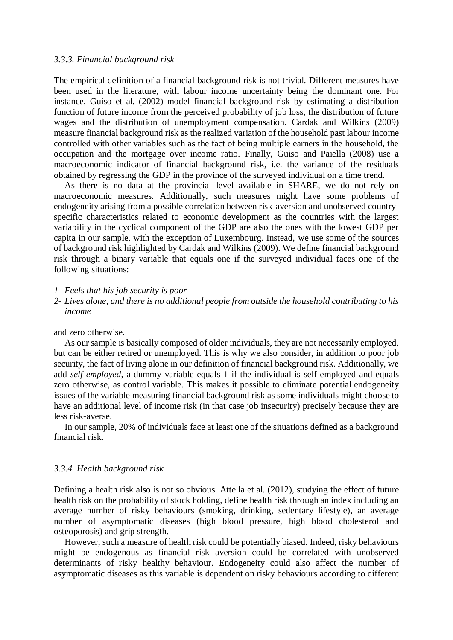#### *3.3.3. Financial background risk*

The empirical definition of a financial background risk is not trivial. Different measures have been used in the literature, with labour income uncertainty being the dominant one. For instance, Guiso et al. (2002) model financial background risk by estimating a distribution function of future income from the perceived probability of job loss, the distribution of future wages and the distribution of unemployment compensation. Cardak and Wilkins (2009) measure financial background risk as the realized variation of the household past labour income controlled with other variables such as the fact of being multiple earners in the household, the occupation and the mortgage over income ratio. Finally, Guiso and Paiella (2008) use a macroeconomic indicator of financial background risk, i.e. the variance of the residuals obtained by regressing the GDP in the province of the surveyed individual on a time trend.

As there is no data at the provincial level available in SHARE, we do not rely on macroeconomic measures. Additionally, such measures might have some problems of endogeneity arising from a possible correlation between risk-aversion and unobserved countryspecific characteristics related to economic development as the countries with the largest variability in the cyclical component of the GDP are also the ones with the lowest GDP per capita in our sample, with the exception of Luxembourg. Instead, we use some of the sources of background risk highlighted by Cardak and Wilkins (2009). We define financial background risk through a binary variable that equals one if the surveyed individual faces one of the following situations:

#### *1- Feels that his job security is poor*

*2- Lives alone, and there is no additional people from outside the household contributing to his income*

and zero otherwise.

As our sample is basically composed of older individuals, they are not necessarily employed, but can be either retired or unemployed. This is why we also consider, in addition to poor job security, the fact of living alone in our definition of financial background risk. Additionally, we add *self-employed*, a dummy variable equals 1 if the individual is self-employed and equals zero otherwise, as control variable. This makes it possible to eliminate potential endogeneity issues of the variable measuring financial background risk as some individuals might choose to have an additional level of income risk (in that case job insecurity) precisely because they are less risk-averse.

In our sample, 20% of individuals face at least one of the situations defined as a background financial risk.

### *3.3.4. Health background risk*

Defining a health risk also is not so obvious. Attella et al. (2012), studying the effect of future health risk on the probability of stock holding, define health risk through an index including an average number of risky behaviours (smoking, drinking, sedentary lifestyle), an average number of asymptomatic diseases (high blood pressure, high blood cholesterol and osteoporosis) and grip strength.

However, such a measure of health risk could be potentially biased. Indeed, risky behaviours might be endogenous as financial risk aversion could be correlated with unobserved determinants of risky healthy behaviour. Endogeneity could also affect the number of asymptomatic diseases as this variable is dependent on risky behaviours according to different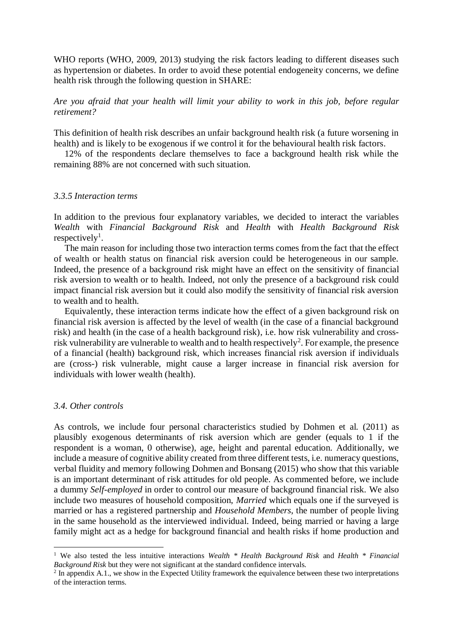WHO reports (WHO, 2009, 2013) studying the risk factors leading to different diseases such as hypertension or diabetes. In order to avoid these potential endogeneity concerns, we define health risk through the following question in SHARE:

*Are you afraid that your health will limit your ability to work in this job, before regular retirement?*

This definition of health risk describes an unfair background health risk (a future worsening in health) and is likely to be exogenous if we control it for the behavioural health risk factors.

12% of the respondents declare themselves to face a background health risk while the remaining 88% are not concerned with such situation.

# *3.3.5 Interaction terms*

In addition to the previous four explanatory variables, we decided to interact the variables *Wealth* with *Financial Background Risk* and *Health* with *Health Background Risk*  respectively<sup>1</sup>.

The main reason for including those two interaction terms comes from the fact that the effect of wealth or health status on financial risk aversion could be heterogeneous in our sample. Indeed, the presence of a background risk might have an effect on the sensitivity of financial risk aversion to wealth or to health. Indeed, not only the presence of a background risk could impact financial risk aversion but it could also modify the sensitivity of financial risk aversion to wealth and to health.

Equivalently, these interaction terms indicate how the effect of a given background risk on financial risk aversion is affected by the level of wealth (in the case of a financial background risk) and health (in the case of a health background risk), i.e. how risk vulnerability and crossrisk vulnerability are vulnerable to wealth and to health respectively<sup>2</sup>. For example, the presence of a financial (health) background risk, which increases financial risk aversion if individuals are (cross-) risk vulnerable, might cause a larger increase in financial risk aversion for individuals with lower wealth (health).

# *3.4. Other controls*

1

As controls, we include four personal characteristics studied by Dohmen et al. (2011) as plausibly exogenous determinants of risk aversion which are gender (equals to 1 if the respondent is a woman, 0 otherwise), age, height and parental education. Additionally, we include a measure of cognitive ability created from three different tests, i.e. numeracy questions, verbal fluidity and memory following Dohmen and Bonsang (2015) who show that this variable is an important determinant of risk attitudes for old people. As commented before, we include a dummy *Self-employed* in order to control our measure of background financial risk. We also include two measures of household composition, *Married* which equals one if the surveyed is married or has a registered partnership and *Household Members*, the number of people living in the same household as the interviewed individual. Indeed, being married or having a large family might act as a hedge for background financial and health risks if home production and

<sup>1</sup> We also tested the less intuitive interactions *Wealth \* Health Background Risk* and *Health \* Financial Background Risk* but they were not significant at the standard confidence intervals.

 $2$  In appendix A.1., we show in the Expected Utility framework the equivalence between these two interpretations of the interaction terms.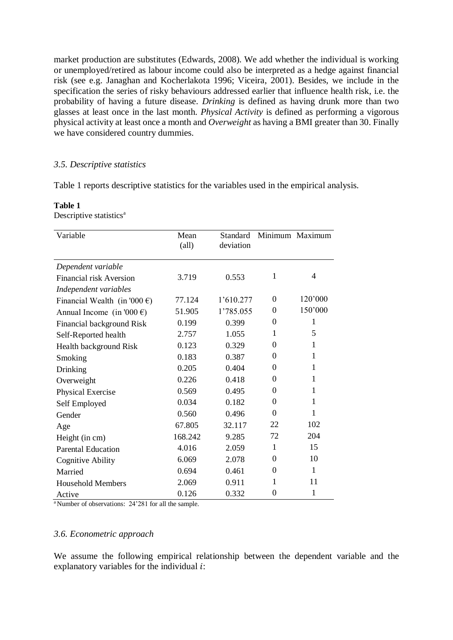market production are substitutes (Edwards, 2008). We add whether the individual is working or unemployed/retired as labour income could also be interpreted as a hedge against financial risk (see e.g. Janaghan and Kocherlakota 1996; Viceira, 2001). Besides, we include in the specification the series of risky behaviours addressed earlier that influence health risk, i.e. the probability of having a future disease. *Drinking* is defined as having drunk more than two glasses at least once in the last month. *Physical Activity* is defined as performing a vigorous physical activity at least once a month and *Overweight* as having a BMI greater than 30. Finally we have considered country dummies.

# *3.5. Descriptive statistics*

Table 1 reports descriptive statistics for the variables used in the empirical analysis.

| Variable<br>Mean<br>$\text{(all)}$     |         | Standard<br>deviation |          | Minimum Maximum |  |
|----------------------------------------|---------|-----------------------|----------|-----------------|--|
| Dependent variable                     |         |                       |          |                 |  |
| Financial risk Aversion                | 3.719   | 0.553                 | 1        | $\overline{4}$  |  |
| Independent variables                  |         |                       |          |                 |  |
| Financial Wealth (in '000 $\epsilon$ ) | 77.124  | 1'610.277             | $\theta$ | 120'000         |  |
| Annual Income (in '000 $\epsilon$ )    | 51.905  | 1'785.055             | $\Omega$ | 150'000         |  |
| Financial background Risk              | 0.199   | 0.399                 | 0        | 1               |  |
| Self-Reported health                   | 2.757   | 1.055                 | 1        | 5               |  |
| Health background Risk                 | 0.123   | 0.329                 | 0        | 1               |  |
| Smoking                                | 0.183   | 0.387                 | 0        | 1               |  |
| Drinking                               | 0.205   | 0.404                 | 0        | 1               |  |
| Overweight                             | 0.226   | 0.418                 | $\theta$ | 1               |  |
| Physical Exercise                      | 0.569   | 0.495                 | 0        | 1               |  |
| Self Employed                          | 0.034   | 0.182                 | 0        | 1               |  |
| Gender                                 | 0.560   | 0.496                 | 0        | 1               |  |
| Age                                    | 67.805  | 32.117                | 22       | 102             |  |
| Height (in cm)                         | 168.242 | 9.285                 | 72       | 204             |  |
| <b>Parental Education</b>              | 4.016   | 2.059                 | 1        | 15              |  |
| <b>Cognitive Ability</b>               | 6.069   | 2.078                 | $\Omega$ | 10              |  |
| Married                                | 0.694   | 0.461                 | $\Omega$ | $\mathbf{1}$    |  |
| <b>Household Members</b>               | 2.069   | 0.911                 | 1        | 11              |  |
| Active                                 | 0.126   | 0.332                 | $\theta$ | 1               |  |

### **Table 1** Descriptive statistics<sup>a</sup>

<sup>a</sup> Number of observations: 24'281 for all the sample.

# *3.6. Econometric approach*

We assume the following empirical relationship between the dependent variable and the explanatory variables for the individual  $i$ :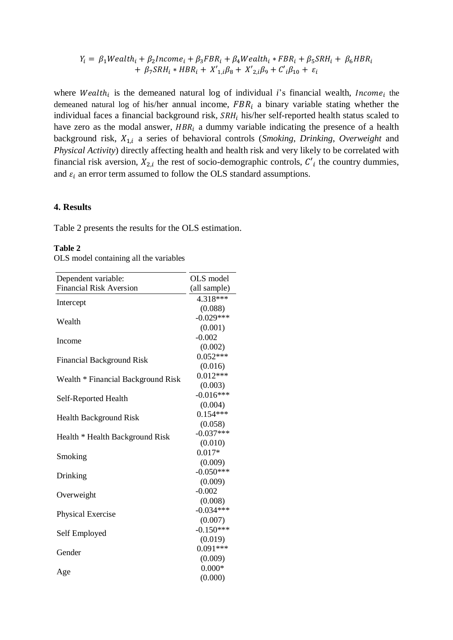$$
Y_i = \beta_1 Wealth_i + \beta_2 Income_i + \beta_3 FBR_i + \beta_4 Wealth_i * FBR_i + \beta_5 SRH_i + \beta_6 HBR_i
$$
  
+  $\beta_7 SRH_i * HBR_i + X'_{1,i}\beta_8 + X'_{2,i}\beta_9 + C'_{i}\beta_{10} + \varepsilon_i$ 

where Wealth<sub>i</sub> is the demeaned natural log of individual *i*'s financial wealth, *Income*<sub>i</sub> the demeaned natural log of his/her annual income,  $FBR_i$  a binary variable stating whether the individual faces a financial background risk,  $SRH_i$  his/her self-reported health status scaled to have zero as the modal answer,  $HBR_i$  a dummy variable indicating the presence of a health background risk,  $X_{1,i}$  a series of behavioral controls (*Smoking*, *Drinking*, *Overweight* and *Physical Activity*) directly affecting health and health risk and very likely to be correlated with financial risk aversion,  $X_{2,i}$  the rest of socio-demographic controls,  $C'_{i}$  the country dummies, and  $\varepsilon_i$  an error term assumed to follow the OLS standard assumptions.

# **4. Results**

Table 2 presents the results for the OLS estimation.

# **Table 2**

|  |  | OLS model containing all the variables |  |  |  |
|--|--|----------------------------------------|--|--|--|
|--|--|----------------------------------------|--|--|--|

| Dependent variable:                | OLS model    |
|------------------------------------|--------------|
| <b>Financial Risk Aversion</b>     | (all sample) |
| Intercept                          | 4.318***     |
|                                    | (0.088)      |
| Wealth                             | $-0.029***$  |
|                                    | (0.001)      |
| Income                             | $-0.002$     |
|                                    | (0.002)      |
| <b>Financial Background Risk</b>   | $0.052***$   |
|                                    | (0.016)      |
| Wealth * Financial Background Risk | $0.012***$   |
|                                    | (0.003)      |
| Self-Reported Health               | $-0.016***$  |
|                                    | (0.004)      |
| <b>Health Background Risk</b>      | $0.154***$   |
|                                    | (0.058)      |
| Health * Health Background Risk    | $-0.037***$  |
|                                    | (0.010)      |
| Smoking                            | $0.017*$     |
|                                    | (0.009)      |
| Drinking                           | $-0.050***$  |
|                                    | (0.009)      |
| Overweight                         | $-0.002$     |
|                                    | (0.008)      |
| <b>Physical Exercise</b>           | $-0.034***$  |
|                                    | (0.007)      |
| Self Employed                      | $-0.150***$  |
|                                    | (0.019)      |
| Gender                             | $0.091***$   |
|                                    | (0.009)      |
| Age                                | $0.000*$     |
|                                    | (0.000)      |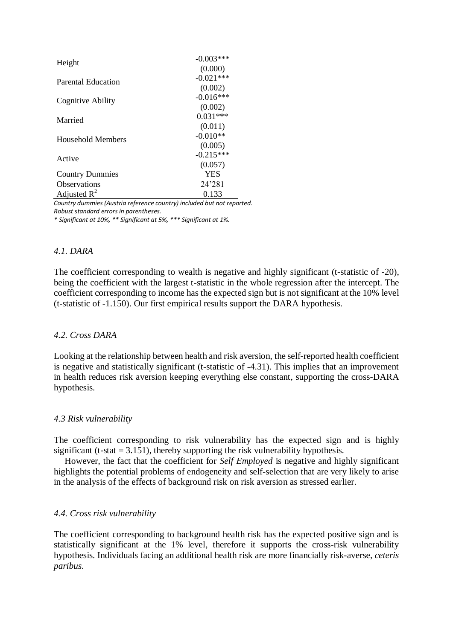| Height                    | $-0.003***$ |
|---------------------------|-------------|
|                           | (0.000)     |
| <b>Parental Education</b> | $-0.021***$ |
|                           | (0.002)     |
| Cognitive Ability         | $-0.016***$ |
|                           | (0.002)     |
| Married                   | $0.031***$  |
|                           | (0.011)     |
| Household Members         | $-0.010**$  |
|                           | (0.005)     |
| Active                    | $-0.215***$ |
|                           | (0.057)     |
| <b>Country Dummies</b>    | <b>YES</b>  |
| <b>Observations</b>       | 24'281      |
| Adjusted $R^2$            | 0.133       |

*Country dummies (Austria reference country) included but not reported. Robust standard errors in parentheses.*

*\* Significant at 10%, \*\* Significant at 5%, \*\*\* Significant at 1%.*

# *4.1. DARA*

The coefficient corresponding to wealth is negative and highly significant (t-statistic of -20), being the coefficient with the largest t-statistic in the whole regression after the intercept. The coefficient corresponding to income has the expected sign but is not significant at the 10% level (t-statistic of -1.150). Our first empirical results support the DARA hypothesis.

# *4.2. Cross DARA*

Looking at the relationship between health and risk aversion, the self-reported health coefficient is negative and statistically significant (t-statistic of -4.31). This implies that an improvement in health reduces risk aversion keeping everything else constant, supporting the cross-DARA hypothesis.

# *4.3 Risk vulnerability*

The coefficient corresponding to risk vulnerability has the expected sign and is highly significant (t-stat  $= 3.151$ ), thereby supporting the risk vulnerability hypothesis.

However, the fact that the coefficient for *Self Employed* is negative and highly significant highlights the potential problems of endogeneity and self-selection that are very likely to arise in the analysis of the effects of background risk on risk aversion as stressed earlier.

# *4.4. Cross risk vulnerability*

The coefficient corresponding to background health risk has the expected positive sign and is statistically significant at the 1% level, therefore it supports the cross-risk vulnerability hypothesis. Individuals facing an additional health risk are more financially risk-averse, *ceteris paribus*.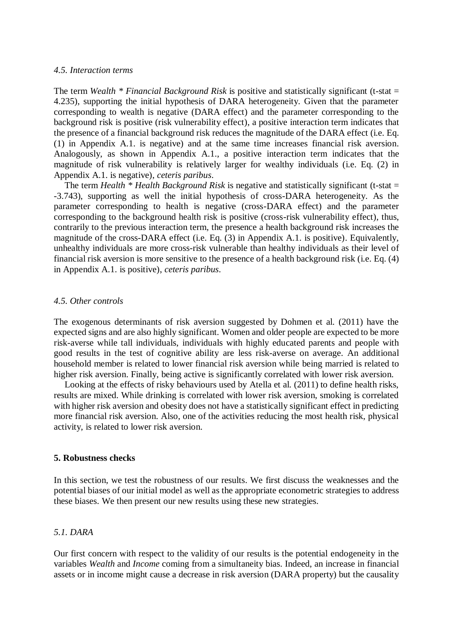# *4.5. Interaction terms*

The term *Wealth \* Financial Background Risk* is positive and statistically significant (t-stat = 4.235), supporting the initial hypothesis of DARA heterogeneity. Given that the parameter corresponding to wealth is negative (DARA effect) and the parameter corresponding to the background risk is positive (risk vulnerability effect), a positive interaction term indicates that the presence of a financial background risk reduces the magnitude of the DARA effect (i.e. Eq. (1) in Appendix A.1. is negative) and at the same time increases financial risk aversion. Analogously, as shown in Appendix A.1., a positive interaction term indicates that the magnitude of risk vulnerability is relatively larger for wealthy individuals (i.e. Eq. (2) in Appendix A.1. is negative), *ceteris paribus*.

The term *Health* \* *Health Background Risk* is negative and statistically significant (t-stat = -3.743), supporting as well the initial hypothesis of cross-DARA heterogeneity. As the parameter corresponding to health is negative (cross-DARA effect) and the parameter corresponding to the background health risk is positive (cross-risk vulnerability effect), thus, contrarily to the previous interaction term, the presence a health background risk increases the magnitude of the cross-DARA effect (i.e. Eq. (3) in Appendix A.1. is positive). Equivalently, unhealthy individuals are more cross-risk vulnerable than healthy individuals as their level of financial risk aversion is more sensitive to the presence of a health background risk (i.e. Eq. (4) in Appendix A.1. is positive), *ceteris paribus*.

## *4.5. Other controls*

The exogenous determinants of risk aversion suggested by Dohmen et al. (2011) have the expected signs and are also highly significant. Women and older people are expected to be more risk-averse while tall individuals, individuals with highly educated parents and people with good results in the test of cognitive ability are less risk-averse on average. An additional household member is related to lower financial risk aversion while being married is related to higher risk aversion. Finally, being active is significantly correlated with lower risk aversion.

Looking at the effects of risky behaviours used by Atella et al. (2011) to define health risks, results are mixed. While drinking is correlated with lower risk aversion, smoking is correlated with higher risk aversion and obesity does not have a statistically significant effect in predicting more financial risk aversion. Also, one of the activities reducing the most health risk, physical activity, is related to lower risk aversion.

## **5. Robustness checks**

In this section, we test the robustness of our results. We first discuss the weaknesses and the potential biases of our initial model as well as the appropriate econometric strategies to address these biases. We then present our new results using these new strategies.

# *5.1. DARA*

Our first concern with respect to the validity of our results is the potential endogeneity in the variables *Wealth* and *Income* coming from a simultaneity bias. Indeed, an increase in financial assets or in income might cause a decrease in risk aversion (DARA property) but the causality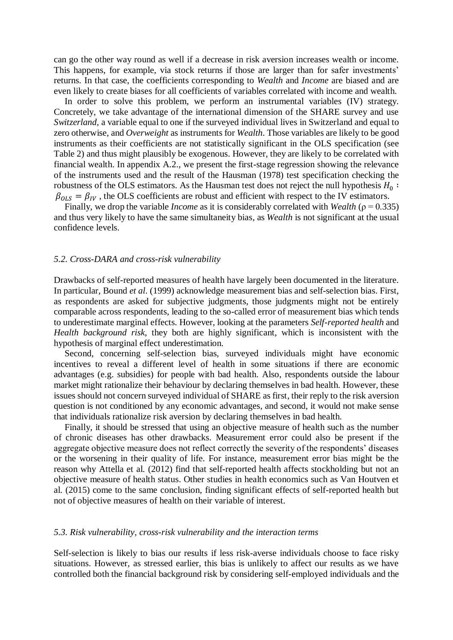can go the other way round as well if a decrease in risk aversion increases wealth or income. This happens, for example, via stock returns if those are larger than for safer investments' returns. In that case, the coefficients corresponding to *Wealth* and *Income* are biased and are even likely to create biases for all coefficients of variables correlated with income and wealth.

In order to solve this problem, we perform an instrumental variables (IV) strategy. Concretely, we take advantage of the international dimension of the SHARE survey and use *Switzerland*, a variable equal to one if the surveyed individual lives in Switzerland and equal to zero otherwise, and *Overweight* as instruments for *Wealth*. Those variables are likely to be good instruments as their coefficients are not statistically significant in the OLS specification (see Table 2) and thus might plausibly be exogenous. However, they are likely to be correlated with financial wealth. In appendix A.2., we present the first-stage regression showing the relevance of the instruments used and the result of the Hausman (1978) test specification checking the robustness of the OLS estimators. As the Hausman test does not reject the null hypothesis  $H_0$ :  $\beta_{OLS} = \beta_{IV}$ , the OLS coefficients are robust and efficient with respect to the IV estimators.

Finally, we drop the variable *Income* as it is considerably correlated with *Wealth* (ρ = 0.335) and thus very likely to have the same simultaneity bias, as *Wealth* is not significant at the usual confidence levels.

#### *5.2. Cross-DARA and cross-risk vulnerability*

Drawbacks of self-reported measures of health have largely been documented in the literature. In particular, Bound *et al*. (1999) acknowledge measurement bias and self-selection bias. First, as respondents are asked for subjective judgments, those judgments might not be entirely comparable across respondents, leading to the so-called error of measurement bias which tends to underestimate marginal effects. However, looking at the parameters *Self-reported health* and *Health background risk*, they both are highly significant, which is inconsistent with the hypothesis of marginal effect underestimation.

Second, concerning self-selection bias, surveyed individuals might have economic incentives to reveal a different level of health in some situations if there are economic advantages (e.g. subsidies) for people with bad health. Also, respondents outside the labour market might rationalize their behaviour by declaring themselves in bad health. However, these issues should not concern surveyed individual of SHARE as first, their reply to the risk aversion question is not conditioned by any economic advantages, and second, it would not make sense that individuals rationalize risk aversion by declaring themselves in bad health.

Finally, it should be stressed that using an objective measure of health such as the number of chronic diseases has other drawbacks. Measurement error could also be present if the aggregate objective measure does not reflect correctly the severity of the respondents' diseases or the worsening in their quality of life. For instance, measurement error bias might be the reason why Attella et al. (2012) find that self-reported health affects stockholding but not an objective measure of health status. Other studies in health economics such as Van Houtven et al. (2015) come to the same conclusion, finding significant effects of self-reported health but not of objective measures of health on their variable of interest.

#### *5.3. Risk vulnerability, cross-risk vulnerability and the interaction terms*

Self-selection is likely to bias our results if less risk-averse individuals choose to face risky situations. However, as stressed earlier, this bias is unlikely to affect our results as we have controlled both the financial background risk by considering self-employed individuals and the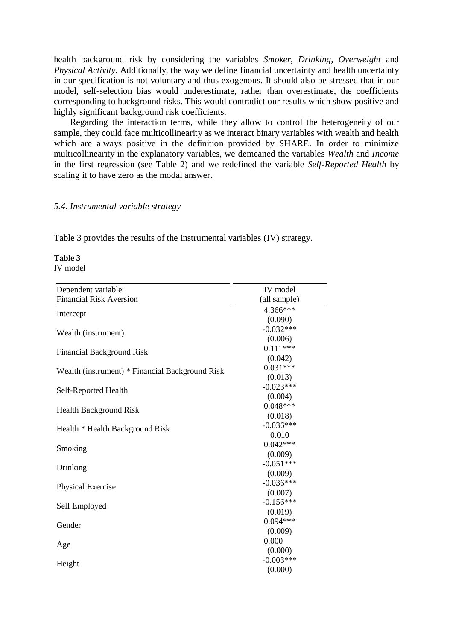health background risk by considering the variables *Smoker, Drinking, Overweight* and *Physical Activity*. Additionally, the way we define financial uncertainty and health uncertainty in our specification is not voluntary and thus exogenous. It should also be stressed that in our model, self-selection bias would underestimate, rather than overestimate, the coefficients corresponding to background risks. This would contradict our results which show positive and highly significant background risk coefficients.

Regarding the interaction terms, while they allow to control the heterogeneity of our sample, they could face multicollinearity as we interact binary variables with wealth and health which are always positive in the definition provided by SHARE. In order to minimize multicollinearity in the explanatory variables, we demeaned the variables *Wealth* and *Income* in the first regression (see Table 2) and we redefined the variable *Self-Reported Health* by scaling it to have zero as the modal answer.

# *5.4. Instrumental variable strategy*

Table 3 provides the results of the instrumental variables (IV) strategy.

**Table 3**

IV model

| Dependent variable:                             | IV model     |
|-------------------------------------------------|--------------|
| <b>Financial Risk Aversion</b>                  | (all sample) |
| Intercept                                       | 4.366***     |
|                                                 | (0.090)      |
| Wealth (instrument)                             | $-0.032***$  |
|                                                 | (0.006)      |
| <b>Financial Background Risk</b>                | $0.111***$   |
|                                                 | (0.042)      |
| Wealth (instrument) * Financial Background Risk | $0.031***$   |
|                                                 | (0.013)      |
| Self-Reported Health                            | $-0.023***$  |
|                                                 | (0.004)      |
| <b>Health Background Risk</b>                   | $0.048***$   |
|                                                 | (0.018)      |
| Health * Health Background Risk                 | $-0.036***$  |
|                                                 | 0.010        |
| Smoking                                         | $0.042***$   |
|                                                 | (0.009)      |
| Drinking                                        | $-0.051***$  |
|                                                 | (0.009)      |
| Physical Exercise                               | $-0.036***$  |
|                                                 | (0.007)      |
| Self Employed                                   | $-0.156***$  |
|                                                 | (0.019)      |
| Gender                                          | $0.094***$   |
|                                                 | (0.009)      |
| Age                                             | 0.000        |
|                                                 | (0.000)      |
| Height                                          | $-0.003***$  |
|                                                 | (0.000)      |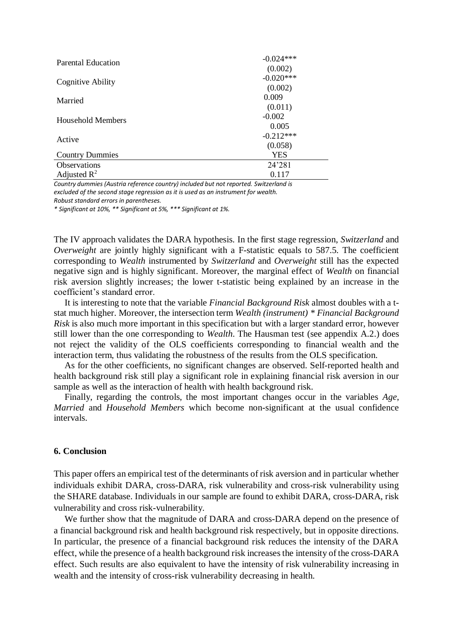| <b>Parental Education</b>           | $-0.024***$ |
|-------------------------------------|-------------|
|                                     | (0.002)     |
| Cognitive Ability                   | $-0.020***$ |
|                                     | (0.002)     |
| Married<br><b>Household Members</b> | 0.009       |
|                                     | (0.011)     |
|                                     | $-0.002$    |
|                                     | 0.005       |
| Active                              | $-0.212***$ |
|                                     | (0.058)     |
| <b>Country Dummies</b>              | <b>YES</b>  |
| <b>Observations</b>                 | 24'281      |
| Adjusted $R^2$                      | 0.117       |

*Country dummies (Austria reference country) included but not reported. Switzerland is excluded of the second stage regression as it is used as an instrument for wealth. Robust standard errors in parentheses.*

*\* Significant at 10%, \*\* Significant at 5%, \*\*\* Significant at 1%.*

The IV approach validates the DARA hypothesis. In the first stage regression, *Switzerland* and *Overweight* are jointly highly significant with a F-statistic equals to 587.5. The coefficient corresponding to *Wealth* instrumented by *Switzerland* and *Overweight* still has the expected negative sign and is highly significant. Moreover, the marginal effect of *Wealth* on financial risk aversion slightly increases; the lower t-statistic being explained by an increase in the coefficient's standard error.

It is interesting to note that the variable *Financial Background Risk* almost doubles with a tstat much higher. Moreover, the intersection term *Wealth (instrument) \* Financial Background Risk* is also much more important in this specification but with a larger standard error, however still lower than the one corresponding to *Wealth*. The Hausman test (see appendix A.2.) does not reject the validity of the OLS coefficients corresponding to financial wealth and the interaction term, thus validating the robustness of the results from the OLS specification.

As for the other coefficients, no significant changes are observed. Self-reported health and health background risk still play a significant role in explaining financial risk aversion in our sample as well as the interaction of health with health background risk.

Finally, regarding the controls, the most important changes occur in the variables *Age*, *Married* and *Household Members* which become non-significant at the usual confidence intervals.

## **6. Conclusion**

This paper offers an empirical test of the determinants of risk aversion and in particular whether individuals exhibit DARA, cross-DARA, risk vulnerability and cross-risk vulnerability using the SHARE database. Individuals in our sample are found to exhibit DARA, cross-DARA, risk vulnerability and cross risk-vulnerability.

We further show that the magnitude of DARA and cross-DARA depend on the presence of a financial background risk and health background risk respectively, but in opposite directions. In particular, the presence of a financial background risk reduces the intensity of the DARA effect, while the presence of a health background risk increases the intensity of the cross-DARA effect. Such results are also equivalent to have the intensity of risk vulnerability increasing in wealth and the intensity of cross-risk vulnerability decreasing in health.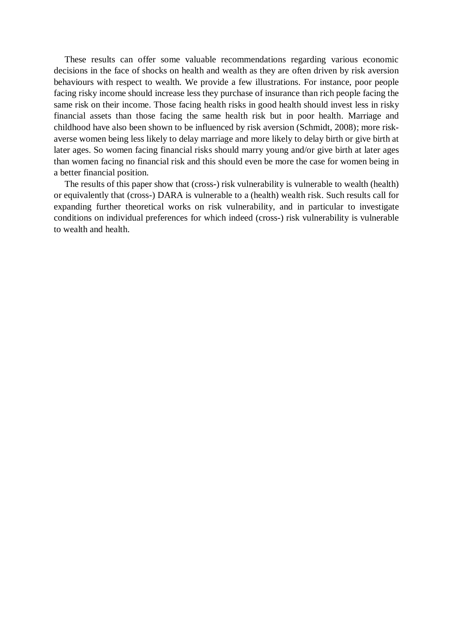These results can offer some valuable recommendations regarding various economic decisions in the face of shocks on health and wealth as they are often driven by risk aversion behaviours with respect to wealth. We provide a few illustrations. For instance, poor people facing risky income should increase less they purchase of insurance than rich people facing the same risk on their income. Those facing health risks in good health should invest less in risky financial assets than those facing the same health risk but in poor health. Marriage and childhood have also been shown to be influenced by risk aversion (Schmidt, 2008); more riskaverse women being less likely to delay marriage and more likely to delay birth or give birth at later ages. So women facing financial risks should marry young and/or give birth at later ages than women facing no financial risk and this should even be more the case for women being in a better financial position.

The results of this paper show that (cross-) risk vulnerability is vulnerable to wealth (health) or equivalently that (cross-) DARA is vulnerable to a (health) wealth risk. Such results call for expanding further theoretical works on risk vulnerability, and in particular to investigate conditions on individual preferences for which indeed (cross-) risk vulnerability is vulnerable to wealth and health.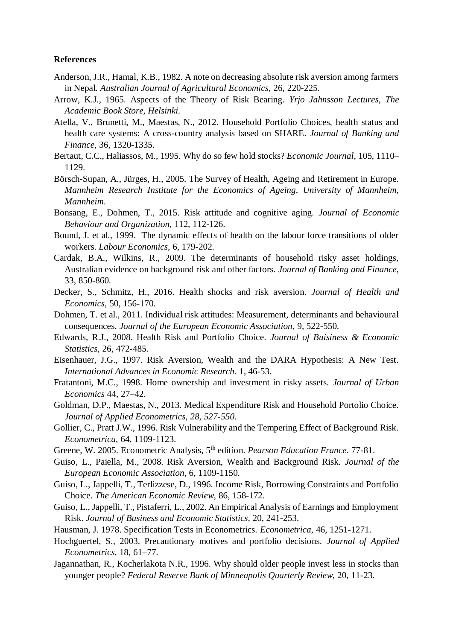### **References**

- Anderson, J.R., Hamal, K.B., 1982. A note on decreasing absolute risk aversion among farmers in Nepal. *Australian Journal of Agricultural Economics,* 26, 220-225.
- Arrow, K.J., 1965. Aspects of the Theory of Risk Bearing. *Yrjo Jahnsson Lectures, The Academic Book Store, Helsinki.*
- Atella, V., Brunetti, M., Maestas, N., 2012. Household Portfolio Choices, health status and health care systems: A cross-country analysis based on SHARE. *Journal of Banking and Finance*, 36, 1320-1335.
- Bertaut, C.C., Haliassos, M., 1995. Why do so few hold stocks? *Economic Journal,* 105, 1110– 1129.
- Börsch-Supan, A., Jürges, H., 2005. The Survey of Health, Ageing and Retirement in Europe. *Mannheim Research Institute for the Economics of Ageing, University of Mannheim, Mannheim*.
- Bonsang, E., Dohmen, T., 2015. Risk attitude and cognitive aging. *Journal of Economic Behaviour and Organization,* 112, 112-126.
- Bound, J. et al., 1999. The dynamic effects of health on the labour force transitions of older workers. *Labour Economics,* 6, 179-202.
- Cardak, B.A., Wilkins, R., 2009. The determinants of household risky asset holdings, Australian evidence on background risk and other factors. *Journal of Banking and Finance,*  33, 850-860.
- Decker, S., Schmitz, H., 2016. Health shocks and risk aversion. *Journal of Health and Economics,* 50, 156-170.
- Dohmen, T. et al., 2011. Individual risk attitudes: Measurement, determinants and behavioural consequences. *Journal of the European Economic Association*, 9, 522-550.
- Edwards, R.J., 2008. Health Risk and Portfolio Choice. *Journal of Buisiness & Economic Statistics,* 26, 472-485.
- Eisenhauer, J.G., 1997. Risk Aversion, Wealth and the DARA Hypothesis: A New Test. *International Advances in Economic Research.* 1, 46-53.
- Fratantoni, M.C., 1998. Home ownership and investment in risky assets. *Journal of Urban Economics* 44, 27–42.
- Goldman, D.P., Maestas, N., 2013. Medical Expenditure Risk and Household Portolio Choice. *Journal of Applied Econometrics, 28, 527-550*.
- Gollier, C., Pratt J.W., 1996. Risk Vulnerability and the Tempering Effect of Background Risk. *Econometrica,* 64, 1109-1123.
- Greene, W. 2005. Econometric Analysis, 5th edition. *Pearson Education France*. 77-81.
- Guiso, L., Paiella, M., 2008. Risk Aversion, Wealth and Background Risk. *Journal of the European Economic Association,* 6, 1109-1150.
- Guiso, L., Jappelli, T., Terlizzese, D., 1996. Income Risk, Borrowing Constraints and Portfolio Choice. *The American Economic Review,* 86, 158-172.
- Guiso, L., Jappelli, T., Pistaferri, L., 2002. An Empirical Analysis of Earnings and Employment Risk. *Journal of Business and Economic Statistics,* 20, 241-253.
- Hausman, J. 1978. Specification Tests in Econometrics. *Econometrica*, 46, 1251-1271.
- Hochguertel, S., 2003. Precautionary motives and portfolio decisions. *Journal of Applied Econometrics,* 18, 61–77.
- Jagannathan, R., Kocherlakota N.R., 1996. Why should older people invest less in stocks than younger people? *Federal Reserve Bank of Minneapolis Quarterly Review,* 20, 11-23.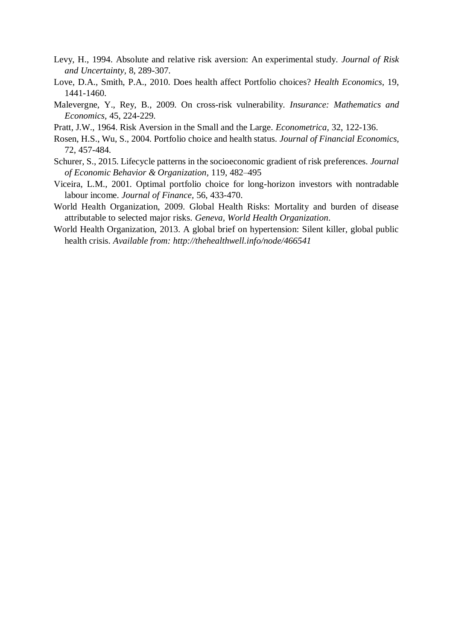- Levy, H., 1994. Absolute and relative risk aversion: An experimental study. *Journal of Risk and Uncertainty,* 8, 289-307.
- Love, D.A., Smith, P.A., 2010. Does health affect Portfolio choices? *Health Economics,* 19, 1441-1460.
- Malevergne, Y., Rey, B., 2009. On cross-risk vulnerability. *Insurance: Mathematics and Economics,* 45, 224-229.
- Pratt, J.W., 1964. Risk Aversion in the Small and the Large. *Econometrica,* 32, 122-136.
- Rosen, H.S., Wu, S., 2004. Portfolio choice and health status. *Journal of Financial Economics,*  72, 457-484.
- Schurer, S., 2015. Lifecycle patterns in the socioeconomic gradient of risk preferences. *Journal of Economic Behavior & Organization,* 119, 482–495
- Viceira, L.M., 2001. Optimal portfolio choice for long-horizon investors with nontradable labour income. *Journal of Finance,* 56, 433-470.
- World Health Organization, 2009. Global Health Risks: Mortality and burden of disease attributable to selected major risks. *Geneva, World Health Organization*.
- World Health Organization, 2013. A global brief on hypertension: Silent killer, global public health crisis. *Available from: http://thehealthwell.info/node/466541*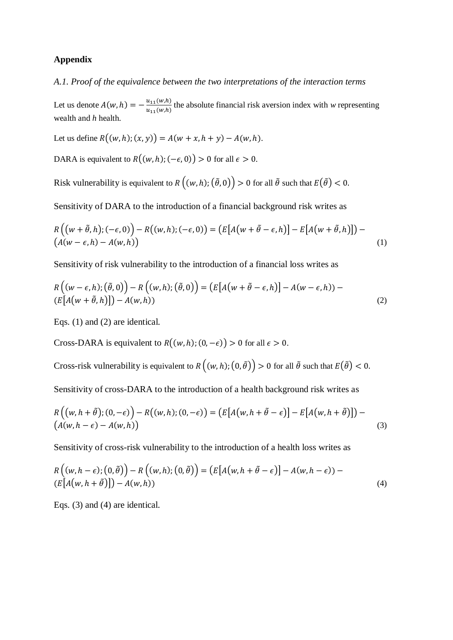# **Appendix**

*A.1. Proof of the equivalence between the two interpretations of the interaction terms*

Let us denote  $A(w, h) = -\frac{u_{11}(w, h)}{w_{11}(w, h)}$  $\frac{u_{11}(w,h)}{u_{11}(w,h)}$  the absolute financial risk aversion index with *w* representing wealth and *h* health.

Let us define  $R((w, h); (x, y)) = A(w + x, h + y) - A(w, h)$ .

DARA is equivalent to  $R((w, h); (-\epsilon, 0)) > 0$  for all  $\epsilon > 0$ .

Risk vulnerability is equivalent to  $R((w, h); (\tilde{\theta}, 0)) > 0$  for all  $\tilde{\theta}$  such that  $E(\tilde{\theta}) < 0$ .

Sensitivity of DARA to the introduction of a financial background risk writes as

$$
R((w + \tilde{\theta}, h); (-\epsilon, 0)) - R((w, h); (-\epsilon, 0)) = (E[A(w + \tilde{\theta} - \epsilon, h)] - E[A(w + \tilde{\theta}, h)]) -(A(w - \epsilon, h) - A(w, h))
$$
\n(1)

Sensitivity of risk vulnerability to the introduction of a financial loss writes as

$$
R((w - \epsilon, h); (\tilde{\theta}, 0)) - R((w, h); (\tilde{\theta}, 0)) = (E[A(w + \tilde{\theta} - \epsilon, h)] - A(w - \epsilon, h)) - (E[A(w + \tilde{\theta}, h)]) - A(w, h))
$$
\n(2)

Eqs. (1) and (2) are identical.

Cross-DARA is equivalent to  $R((w, h); (0, -\epsilon)) > 0$  for all  $\epsilon > 0$ .

Cross-risk vulnerability is equivalent to  $R((w, h); (0, \tilde{\theta})) > 0$  for all  $\tilde{\theta}$  such that  $E(\tilde{\theta}) < 0$ .

Sensitivity of cross-DARA to the introduction of a health background risk writes as

$$
R((w,h+\tilde{\theta});(0,-\epsilon)) - R((w,h);(0,-\epsilon)) = (E[A(w,h+\tilde{\theta}-\epsilon)] - E[A(w,h+\tilde{\theta})]) - (A(w,h-\epsilon) - A(w,h))
$$
\n(3)

Sensitivity of cross-risk vulnerability to the introduction of a health loss writes as

$$
R((w,h-\epsilon);(0,\tilde{\theta})) - R((w,h);(0,\tilde{\theta})) = (E[A(w,h+\tilde{\theta}-\epsilon)] - A(w,h-\epsilon)) - (E[A(w,h+\tilde{\theta})]) - A(w,h))
$$
\n(4)

Eqs. (3) and (4) are identical.